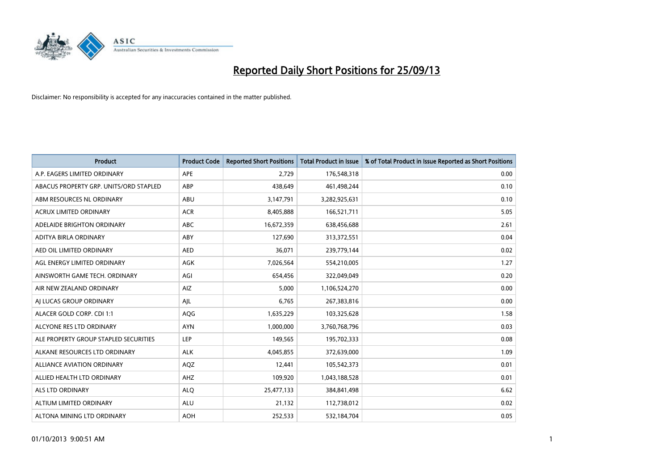

| <b>Product</b>                         | <b>Product Code</b> | <b>Reported Short Positions</b> | <b>Total Product in Issue</b> | % of Total Product in Issue Reported as Short Positions |
|----------------------------------------|---------------------|---------------------------------|-------------------------------|---------------------------------------------------------|
| A.P. EAGERS LIMITED ORDINARY           | APE                 | 2,729                           | 176,548,318                   | 0.00                                                    |
| ABACUS PROPERTY GRP. UNITS/ORD STAPLED | ABP                 | 438,649                         | 461,498,244                   | 0.10                                                    |
| ABM RESOURCES NL ORDINARY              | ABU                 | 3,147,791                       | 3,282,925,631                 | 0.10                                                    |
| ACRUX LIMITED ORDINARY                 | <b>ACR</b>          | 8,405,888                       | 166,521,711                   | 5.05                                                    |
| ADELAIDE BRIGHTON ORDINARY             | <b>ABC</b>          | 16,672,359                      | 638,456,688                   | 2.61                                                    |
| ADITYA BIRLA ORDINARY                  | ABY                 | 127,690                         | 313,372,551                   | 0.04                                                    |
| AED OIL LIMITED ORDINARY               | <b>AED</b>          | 36,071                          | 239,779,144                   | 0.02                                                    |
| AGL ENERGY LIMITED ORDINARY            | AGK                 | 7,026,564                       | 554,210,005                   | 1.27                                                    |
| AINSWORTH GAME TECH. ORDINARY          | AGI                 | 654,456                         | 322,049,049                   | 0.20                                                    |
| AIR NEW ZEALAND ORDINARY               | <b>AIZ</b>          | 5,000                           | 1,106,524,270                 | 0.00                                                    |
| AI LUCAS GROUP ORDINARY                | AJL                 | 6,765                           | 267,383,816                   | 0.00                                                    |
| ALACER GOLD CORP. CDI 1:1              | AQG                 | 1,635,229                       | 103,325,628                   | 1.58                                                    |
| ALCYONE RES LTD ORDINARY               | <b>AYN</b>          | 1,000,000                       | 3,760,768,796                 | 0.03                                                    |
| ALE PROPERTY GROUP STAPLED SECURITIES  | LEP                 | 149,565                         | 195,702,333                   | 0.08                                                    |
| ALKANE RESOURCES LTD ORDINARY          | <b>ALK</b>          | 4,045,855                       | 372,639,000                   | 1.09                                                    |
| ALLIANCE AVIATION ORDINARY             | AQZ                 | 12,441                          | 105,542,373                   | 0.01                                                    |
| ALLIED HEALTH LTD ORDINARY             | AHZ                 | 109,920                         | 1,043,188,528                 | 0.01                                                    |
| <b>ALS LTD ORDINARY</b>                | <b>ALQ</b>          | 25,477,133                      | 384, 841, 498                 | 6.62                                                    |
| ALTIUM LIMITED ORDINARY                | <b>ALU</b>          | 21,132                          | 112,738,012                   | 0.02                                                    |
| ALTONA MINING LTD ORDINARY             | <b>AOH</b>          | 252,533                         | 532,184,704                   | 0.05                                                    |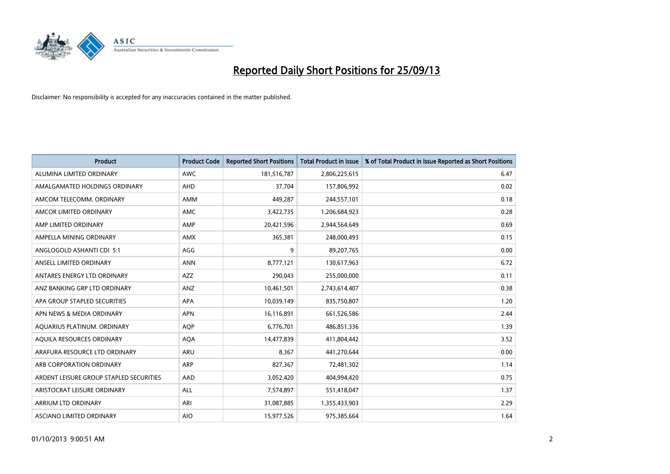

| <b>Product</b>                          | <b>Product Code</b> | <b>Reported Short Positions</b> | <b>Total Product in Issue</b> | % of Total Product in Issue Reported as Short Positions |
|-----------------------------------------|---------------------|---------------------------------|-------------------------------|---------------------------------------------------------|
| ALUMINA LIMITED ORDINARY                | <b>AWC</b>          | 181,516,787                     | 2,806,225,615                 | 6.47                                                    |
| AMALGAMATED HOLDINGS ORDINARY           | AHD                 | 37,704                          | 157,806,992                   | 0.02                                                    |
| AMCOM TELECOMM, ORDINARY                | AMM                 | 449,287                         | 244,557,101                   | 0.18                                                    |
| AMCOR LIMITED ORDINARY                  | AMC                 | 3,422,735                       | 1,206,684,923                 | 0.28                                                    |
| AMP LIMITED ORDINARY                    | AMP                 | 20,421,596                      | 2,944,564,649                 | 0.69                                                    |
| AMPELLA MINING ORDINARY                 | AMX                 | 365,381                         | 248,000,493                   | 0.15                                                    |
| ANGLOGOLD ASHANTI CDI 5:1               | AGG                 | 9                               | 89,207,765                    | 0.00                                                    |
| ANSELL LIMITED ORDINARY                 | <b>ANN</b>          | 8,777,121                       | 130,617,963                   | 6.72                                                    |
| ANTARES ENERGY LTD ORDINARY             | <b>AZZ</b>          | 290,043                         | 255,000,000                   | 0.11                                                    |
| ANZ BANKING GRP LTD ORDINARY            | ANZ                 | 10,461,501                      | 2,743,614,407                 | 0.38                                                    |
| APA GROUP STAPLED SECURITIES            | APA                 | 10,039,149                      | 835,750,807                   | 1.20                                                    |
| APN NEWS & MEDIA ORDINARY               | <b>APN</b>          | 16,116,891                      | 661,526,586                   | 2.44                                                    |
| AQUARIUS PLATINUM. ORDINARY             | <b>AOP</b>          | 6,776,701                       | 486,851,336                   | 1.39                                                    |
| AOUILA RESOURCES ORDINARY               | <b>AQA</b>          | 14,477,839                      | 411,804,442                   | 3.52                                                    |
| ARAFURA RESOURCE LTD ORDINARY           | ARU                 | 8,367                           | 441,270,644                   | 0.00                                                    |
| ARB CORPORATION ORDINARY                | <b>ARP</b>          | 827,367                         | 72,481,302                    | 1.14                                                    |
| ARDENT LEISURE GROUP STAPLED SECURITIES | AAD                 | 3,052,420                       | 404,994,420                   | 0.75                                                    |
| ARISTOCRAT LEISURE ORDINARY             | ALL                 | 7,574,897                       | 551,418,047                   | 1.37                                                    |
| ARRIUM LTD ORDINARY                     | ARI                 | 31,087,885                      | 1,355,433,903                 | 2.29                                                    |
| ASCIANO LIMITED ORDINARY                | <b>AIO</b>          | 15,977,526                      | 975,385,664                   | 1.64                                                    |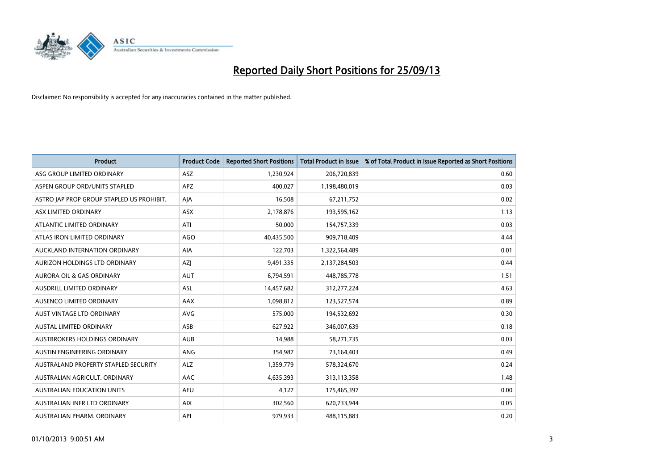

| <b>Product</b>                            | <b>Product Code</b> | <b>Reported Short Positions</b> | <b>Total Product in Issue</b> | % of Total Product in Issue Reported as Short Positions |
|-------------------------------------------|---------------------|---------------------------------|-------------------------------|---------------------------------------------------------|
| ASG GROUP LIMITED ORDINARY                | <b>ASZ</b>          | 1,230,924                       | 206,720,839                   | 0.60                                                    |
| ASPEN GROUP ORD/UNITS STAPLED             | <b>APZ</b>          | 400,027                         | 1,198,480,019                 | 0.03                                                    |
| ASTRO JAP PROP GROUP STAPLED US PROHIBIT. | AJA                 | 16,508                          | 67,211,752                    | 0.02                                                    |
| ASX LIMITED ORDINARY                      | ASX                 | 2,178,876                       | 193,595,162                   | 1.13                                                    |
| ATLANTIC LIMITED ORDINARY                 | ATI                 | 50,000                          | 154,757,339                   | 0.03                                                    |
| ATLAS IRON LIMITED ORDINARY               | <b>AGO</b>          | 40,435,500                      | 909,718,409                   | 4.44                                                    |
| AUCKLAND INTERNATION ORDINARY             | AIA                 | 122,703                         | 1,322,564,489                 | 0.01                                                    |
| AURIZON HOLDINGS LTD ORDINARY             | AZJ                 | 9,491,335                       | 2,137,284,503                 | 0.44                                                    |
| <b>AURORA OIL &amp; GAS ORDINARY</b>      | <b>AUT</b>          | 6,794,591                       | 448,785,778                   | 1.51                                                    |
| AUSDRILL LIMITED ORDINARY                 | ASL                 | 14,457,682                      | 312,277,224                   | 4.63                                                    |
| AUSENCO LIMITED ORDINARY                  | AAX                 | 1,098,812                       | 123,527,574                   | 0.89                                                    |
| <b>AUST VINTAGE LTD ORDINARY</b>          | <b>AVG</b>          | 575,000                         | 194,532,692                   | 0.30                                                    |
| AUSTAL LIMITED ORDINARY                   | ASB                 | 627,922                         | 346,007,639                   | 0.18                                                    |
| AUSTBROKERS HOLDINGS ORDINARY             | <b>AUB</b>          | 14,988                          | 58,271,735                    | 0.03                                                    |
| <b>AUSTIN ENGINEERING ORDINARY</b>        | ANG                 | 354,987                         | 73,164,403                    | 0.49                                                    |
| AUSTRALAND PROPERTY STAPLED SECURITY      | <b>ALZ</b>          | 1,359,779                       | 578,324,670                   | 0.24                                                    |
| AUSTRALIAN AGRICULT. ORDINARY             | AAC                 | 4,635,393                       | 313,113,358                   | 1.48                                                    |
| <b>AUSTRALIAN EDUCATION UNITS</b>         | <b>AEU</b>          | 4,127                           | 175,465,397                   | 0.00                                                    |
| AUSTRALIAN INFR LTD ORDINARY              | <b>AIX</b>          | 302,560                         | 620,733,944                   | 0.05                                                    |
| AUSTRALIAN PHARM. ORDINARY                | API                 | 979,933                         | 488,115,883                   | 0.20                                                    |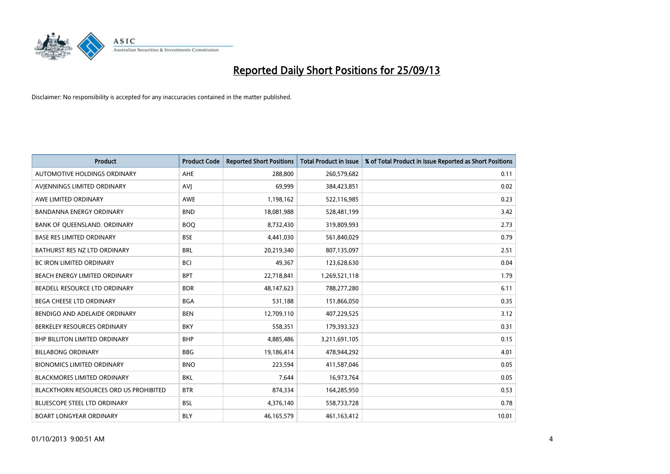

| <b>Product</b>                         | <b>Product Code</b> | <b>Reported Short Positions</b> | <b>Total Product in Issue</b> | % of Total Product in Issue Reported as Short Positions |
|----------------------------------------|---------------------|---------------------------------|-------------------------------|---------------------------------------------------------|
| AUTOMOTIVE HOLDINGS ORDINARY           | AHE                 | 288,800                         | 260,579,682                   | 0.11                                                    |
| AVIENNINGS LIMITED ORDINARY            | <b>AVI</b>          | 69,999                          | 384,423,851                   | 0.02                                                    |
| AWE LIMITED ORDINARY                   | <b>AWE</b>          | 1,198,162                       | 522,116,985                   | 0.23                                                    |
| <b>BANDANNA ENERGY ORDINARY</b>        | <b>BND</b>          | 18,081,988                      | 528,481,199                   | 3.42                                                    |
| BANK OF QUEENSLAND. ORDINARY           | <b>BOQ</b>          | 8,732,430                       | 319,809,993                   | 2.73                                                    |
| <b>BASE RES LIMITED ORDINARY</b>       | <b>BSE</b>          | 4,441,030                       | 561,840,029                   | 0.79                                                    |
| BATHURST RES NZ LTD ORDINARY           | <b>BRL</b>          | 20,219,340                      | 807,135,097                   | 2.51                                                    |
| BC IRON LIMITED ORDINARY               | <b>BCI</b>          | 49,367                          | 123,628,630                   | 0.04                                                    |
| BEACH ENERGY LIMITED ORDINARY          | <b>BPT</b>          | 22,718,841                      | 1,269,521,118                 | 1.79                                                    |
| <b>BEADELL RESOURCE LTD ORDINARY</b>   | <b>BDR</b>          | 48,147,623                      | 788,277,280                   | 6.11                                                    |
| BEGA CHEESE LTD ORDINARY               | <b>BGA</b>          | 531,188                         | 151,866,050                   | 0.35                                                    |
| BENDIGO AND ADELAIDE ORDINARY          | <b>BEN</b>          | 12,709,110                      | 407,229,525                   | 3.12                                                    |
| BERKELEY RESOURCES ORDINARY            | <b>BKY</b>          | 558,351                         | 179,393,323                   | 0.31                                                    |
| <b>BHP BILLITON LIMITED ORDINARY</b>   | <b>BHP</b>          | 4,885,486                       | 3,211,691,105                 | 0.15                                                    |
| <b>BILLABONG ORDINARY</b>              | <b>BBG</b>          | 19,186,414                      | 478,944,292                   | 4.01                                                    |
| <b>BIONOMICS LIMITED ORDINARY</b>      | <b>BNO</b>          | 223,594                         | 411,587,046                   | 0.05                                                    |
| BLACKMORES LIMITED ORDINARY            | <b>BKL</b>          | 7,644                           | 16,973,764                    | 0.05                                                    |
| BLACKTHORN RESOURCES ORD US PROHIBITED | <b>BTR</b>          | 874,334                         | 164,285,950                   | 0.53                                                    |
| <b>BLUESCOPE STEEL LTD ORDINARY</b>    | <b>BSL</b>          | 4,376,140                       | 558,733,728                   | 0.78                                                    |
| <b>BOART LONGYEAR ORDINARY</b>         | <b>BLY</b>          | 46,165,579                      | 461,163,412                   | 10.01                                                   |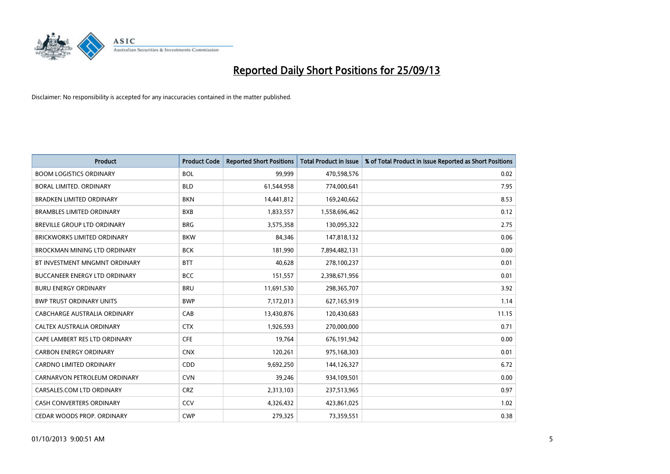

| <b>Product</b>                       | <b>Product Code</b> | <b>Reported Short Positions</b> | <b>Total Product in Issue</b> | % of Total Product in Issue Reported as Short Positions |
|--------------------------------------|---------------------|---------------------------------|-------------------------------|---------------------------------------------------------|
| <b>BOOM LOGISTICS ORDINARY</b>       | <b>BOL</b>          | 99,999                          | 470,598,576                   | 0.02                                                    |
| BORAL LIMITED. ORDINARY              | <b>BLD</b>          | 61,544,958                      | 774,000,641                   | 7.95                                                    |
| <b>BRADKEN LIMITED ORDINARY</b>      | <b>BKN</b>          | 14,441,812                      | 169,240,662                   | 8.53                                                    |
| <b>BRAMBLES LIMITED ORDINARY</b>     | <b>BXB</b>          | 1,833,557                       | 1,558,696,462                 | 0.12                                                    |
| <b>BREVILLE GROUP LTD ORDINARY</b>   | <b>BRG</b>          | 3,575,358                       | 130,095,322                   | 2.75                                                    |
| <b>BRICKWORKS LIMITED ORDINARY</b>   | <b>BKW</b>          | 84,346                          | 147,818,132                   | 0.06                                                    |
| <b>BROCKMAN MINING LTD ORDINARY</b>  | <b>BCK</b>          | 181,990                         | 7,894,482,131                 | 0.00                                                    |
| BT INVESTMENT MNGMNT ORDINARY        | <b>BTT</b>          | 40,628                          | 278,100,237                   | 0.01                                                    |
| <b>BUCCANEER ENERGY LTD ORDINARY</b> | <b>BCC</b>          | 151,557                         | 2,398,671,956                 | 0.01                                                    |
| <b>BURU ENERGY ORDINARY</b>          | <b>BRU</b>          | 11,691,530                      | 298,365,707                   | 3.92                                                    |
| <b>BWP TRUST ORDINARY UNITS</b>      | <b>BWP</b>          | 7,172,013                       | 627,165,919                   | 1.14                                                    |
| CABCHARGE AUSTRALIA ORDINARY         | CAB                 | 13,430,876                      | 120,430,683                   | 11.15                                                   |
| CALTEX AUSTRALIA ORDINARY            | <b>CTX</b>          | 1,926,593                       | 270,000,000                   | 0.71                                                    |
| CAPE LAMBERT RES LTD ORDINARY        | <b>CFE</b>          | 19,764                          | 676,191,942                   | 0.00                                                    |
| <b>CARBON ENERGY ORDINARY</b>        | <b>CNX</b>          | 120,261                         | 975,168,303                   | 0.01                                                    |
| <b>CARDNO LIMITED ORDINARY</b>       | CDD                 | 9,692,250                       | 144,126,327                   | 6.72                                                    |
| CARNARVON PETROLEUM ORDINARY         | <b>CVN</b>          | 39,246                          | 934,109,501                   | 0.00                                                    |
| CARSALES.COM LTD ORDINARY            | <b>CRZ</b>          | 2,313,103                       | 237,513,965                   | 0.97                                                    |
| <b>CASH CONVERTERS ORDINARY</b>      | CCV                 | 4,326,432                       | 423,861,025                   | 1.02                                                    |
| CEDAR WOODS PROP. ORDINARY           | <b>CWP</b>          | 279,325                         | 73,359,551                    | 0.38                                                    |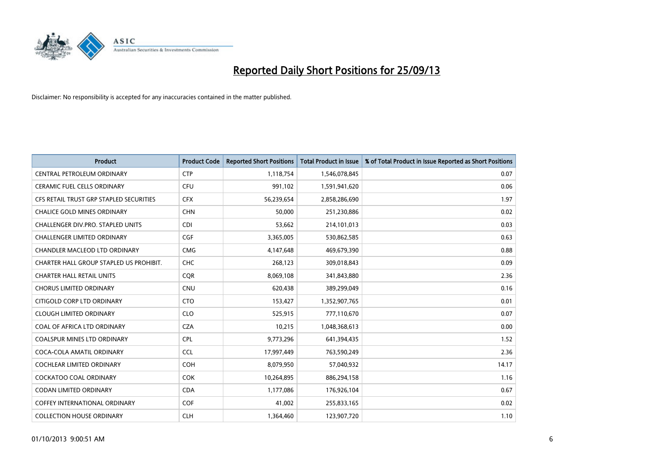

| <b>Product</b>                          | <b>Product Code</b> | <b>Reported Short Positions</b> | <b>Total Product in Issue</b> | % of Total Product in Issue Reported as Short Positions |
|-----------------------------------------|---------------------|---------------------------------|-------------------------------|---------------------------------------------------------|
| CENTRAL PETROLEUM ORDINARY              | <b>CTP</b>          | 1,118,754                       | 1,546,078,845                 | 0.07                                                    |
| CERAMIC FUEL CELLS ORDINARY             | <b>CFU</b>          | 991,102                         | 1,591,941,620                 | 0.06                                                    |
| CFS RETAIL TRUST GRP STAPLED SECURITIES | <b>CFX</b>          | 56,239,654                      | 2,858,286,690                 | 1.97                                                    |
| <b>CHALICE GOLD MINES ORDINARY</b>      | <b>CHN</b>          | 50,000                          | 251,230,886                   | 0.02                                                    |
| CHALLENGER DIV.PRO. STAPLED UNITS       | <b>CDI</b>          | 53,662                          | 214,101,013                   | 0.03                                                    |
| <b>CHALLENGER LIMITED ORDINARY</b>      | <b>CGF</b>          | 3,365,005                       | 530,862,585                   | 0.63                                                    |
| CHANDLER MACLEOD LTD ORDINARY           | <b>CMG</b>          | 4,147,648                       | 469,679,390                   | 0.88                                                    |
| CHARTER HALL GROUP STAPLED US PROHIBIT. | <b>CHC</b>          | 268,123                         | 309,018,843                   | 0.09                                                    |
| <b>CHARTER HALL RETAIL UNITS</b>        | <b>CQR</b>          | 8,069,108                       | 341,843,880                   | 2.36                                                    |
| <b>CHORUS LIMITED ORDINARY</b>          | <b>CNU</b>          | 620,438                         | 389,299,049                   | 0.16                                                    |
| CITIGOLD CORP LTD ORDINARY              | <b>CTO</b>          | 153,427                         | 1,352,907,765                 | 0.01                                                    |
| <b>CLOUGH LIMITED ORDINARY</b>          | <b>CLO</b>          | 525,915                         | 777,110,670                   | 0.07                                                    |
| COAL OF AFRICA LTD ORDINARY             | <b>CZA</b>          | 10,215                          | 1,048,368,613                 | 0.00                                                    |
| <b>COALSPUR MINES LTD ORDINARY</b>      | <b>CPL</b>          | 9,773,296                       | 641,394,435                   | 1.52                                                    |
| COCA-COLA AMATIL ORDINARY               | <b>CCL</b>          | 17,997,449                      | 763,590,249                   | 2.36                                                    |
| COCHLEAR LIMITED ORDINARY               | <b>COH</b>          | 8,079,950                       | 57,040,932                    | 14.17                                                   |
| COCKATOO COAL ORDINARY                  | <b>COK</b>          | 10,264,895                      | 886,294,158                   | 1.16                                                    |
| <b>CODAN LIMITED ORDINARY</b>           | <b>CDA</b>          | 1,177,086                       | 176,926,104                   | 0.67                                                    |
| <b>COFFEY INTERNATIONAL ORDINARY</b>    | <b>COF</b>          | 41,002                          | 255,833,165                   | 0.02                                                    |
| <b>COLLECTION HOUSE ORDINARY</b>        | <b>CLH</b>          | 1,364,460                       | 123,907,720                   | 1.10                                                    |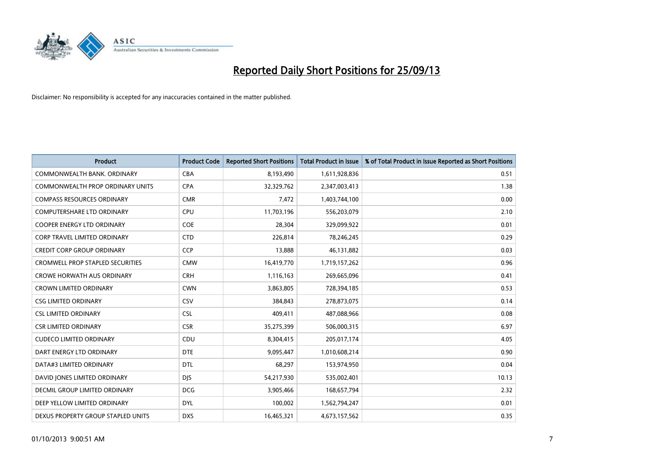

| <b>Product</b>                          | <b>Product Code</b> | <b>Reported Short Positions</b> | <b>Total Product in Issue</b> | % of Total Product in Issue Reported as Short Positions |
|-----------------------------------------|---------------------|---------------------------------|-------------------------------|---------------------------------------------------------|
| COMMONWEALTH BANK, ORDINARY             | <b>CBA</b>          | 8,193,490                       | 1,611,928,836                 | 0.51                                                    |
| COMMONWEALTH PROP ORDINARY UNITS        | <b>CPA</b>          | 32,329,762                      | 2,347,003,413                 | 1.38                                                    |
| <b>COMPASS RESOURCES ORDINARY</b>       | <b>CMR</b>          | 7,472                           | 1,403,744,100                 | 0.00                                                    |
| <b>COMPUTERSHARE LTD ORDINARY</b>       | <b>CPU</b>          | 11,703,196                      | 556,203,079                   | 2.10                                                    |
| <b>COOPER ENERGY LTD ORDINARY</b>       | <b>COE</b>          | 28,304                          | 329,099,922                   | 0.01                                                    |
| CORP TRAVEL LIMITED ORDINARY            | <b>CTD</b>          | 226,814                         | 78,246,245                    | 0.29                                                    |
| <b>CREDIT CORP GROUP ORDINARY</b>       | <b>CCP</b>          | 13,888                          | 46,131,882                    | 0.03                                                    |
| <b>CROMWELL PROP STAPLED SECURITIES</b> | <b>CMW</b>          | 16,419,770                      | 1,719,157,262                 | 0.96                                                    |
| <b>CROWE HORWATH AUS ORDINARY</b>       | <b>CRH</b>          | 1,116,163                       | 269,665,096                   | 0.41                                                    |
| <b>CROWN LIMITED ORDINARY</b>           | <b>CWN</b>          | 3,863,805                       | 728,394,185                   | 0.53                                                    |
| <b>CSG LIMITED ORDINARY</b>             | CSV                 | 384,843                         | 278,873,075                   | 0.14                                                    |
| <b>CSL LIMITED ORDINARY</b>             | <b>CSL</b>          | 409,411                         | 487,088,966                   | 0.08                                                    |
| <b>CSR LIMITED ORDINARY</b>             | <b>CSR</b>          | 35,275,399                      | 506,000,315                   | 6.97                                                    |
| <b>CUDECO LIMITED ORDINARY</b>          | CDU                 | 8,304,415                       | 205,017,174                   | 4.05                                                    |
| DART ENERGY LTD ORDINARY                | <b>DTE</b>          | 9,095,447                       | 1,010,608,214                 | 0.90                                                    |
| DATA#3 LIMITED ORDINARY                 | DTL                 | 68,297                          | 153,974,950                   | 0.04                                                    |
| DAVID JONES LIMITED ORDINARY            | <b>DJS</b>          | 54,217,930                      | 535,002,401                   | 10.13                                                   |
| <b>DECMIL GROUP LIMITED ORDINARY</b>    | <b>DCG</b>          | 3,905,466                       | 168,657,794                   | 2.32                                                    |
| DEEP YELLOW LIMITED ORDINARY            | <b>DYL</b>          | 100,002                         | 1,562,794,247                 | 0.01                                                    |
| DEXUS PROPERTY GROUP STAPLED UNITS      | <b>DXS</b>          | 16,465,321                      | 4,673,157,562                 | 0.35                                                    |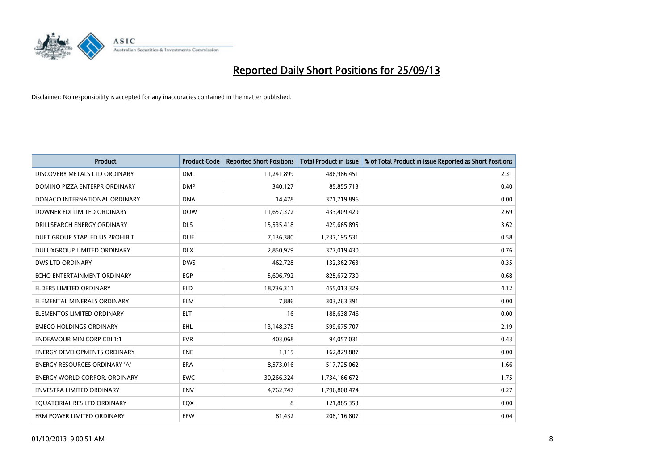

| <b>Product</b>                       | <b>Product Code</b> | <b>Reported Short Positions</b> | <b>Total Product in Issue</b> | % of Total Product in Issue Reported as Short Positions |
|--------------------------------------|---------------------|---------------------------------|-------------------------------|---------------------------------------------------------|
| DISCOVERY METALS LTD ORDINARY        | <b>DML</b>          | 11,241,899                      | 486,986,451                   | 2.31                                                    |
| DOMINO PIZZA ENTERPR ORDINARY        | <b>DMP</b>          | 340,127                         | 85,855,713                    | 0.40                                                    |
| DONACO INTERNATIONAL ORDINARY        | <b>DNA</b>          | 14,478                          | 371,719,896                   | 0.00                                                    |
| DOWNER EDI LIMITED ORDINARY          | <b>DOW</b>          | 11,657,372                      | 433,409,429                   | 2.69                                                    |
| DRILLSEARCH ENERGY ORDINARY          | <b>DLS</b>          | 15,535,418                      | 429,665,895                   | 3.62                                                    |
| DUET GROUP STAPLED US PROHIBIT.      | <b>DUE</b>          | 7,136,380                       | 1,237,195,531                 | 0.58                                                    |
| <b>DULUXGROUP LIMITED ORDINARY</b>   | <b>DLX</b>          | 2,850,929                       | 377,019,430                   | 0.76                                                    |
| <b>DWS LTD ORDINARY</b>              | <b>DWS</b>          | 462,728                         | 132,362,763                   | 0.35                                                    |
| ECHO ENTERTAINMENT ORDINARY          | <b>EGP</b>          | 5,606,792                       | 825,672,730                   | 0.68                                                    |
| <b>ELDERS LIMITED ORDINARY</b>       | <b>ELD</b>          | 18,736,311                      | 455,013,329                   | 4.12                                                    |
| ELEMENTAL MINERALS ORDINARY          | <b>ELM</b>          | 7,886                           | 303,263,391                   | 0.00                                                    |
| ELEMENTOS LIMITED ORDINARY           | <b>ELT</b>          | 16                              | 188,638,746                   | 0.00                                                    |
| <b>EMECO HOLDINGS ORDINARY</b>       | <b>EHL</b>          | 13,148,375                      | 599,675,707                   | 2.19                                                    |
| <b>ENDEAVOUR MIN CORP CDI 1:1</b>    | <b>EVR</b>          | 403,068                         | 94,057,031                    | 0.43                                                    |
| <b>ENERGY DEVELOPMENTS ORDINARY</b>  | <b>ENE</b>          | 1,115                           | 162,829,887                   | 0.00                                                    |
| <b>ENERGY RESOURCES ORDINARY 'A'</b> | <b>ERA</b>          | 8,573,016                       | 517,725,062                   | 1.66                                                    |
| ENERGY WORLD CORPOR. ORDINARY        | <b>EWC</b>          | 30,266,324                      | 1,734,166,672                 | 1.75                                                    |
| ENVESTRA LIMITED ORDINARY            | <b>ENV</b>          | 4,762,747                       | 1,796,808,474                 | 0.27                                                    |
| EQUATORIAL RES LTD ORDINARY          | EQX                 | 8                               | 121,885,353                   | 0.00                                                    |
| ERM POWER LIMITED ORDINARY           | EPW                 | 81,432                          | 208,116,807                   | 0.04                                                    |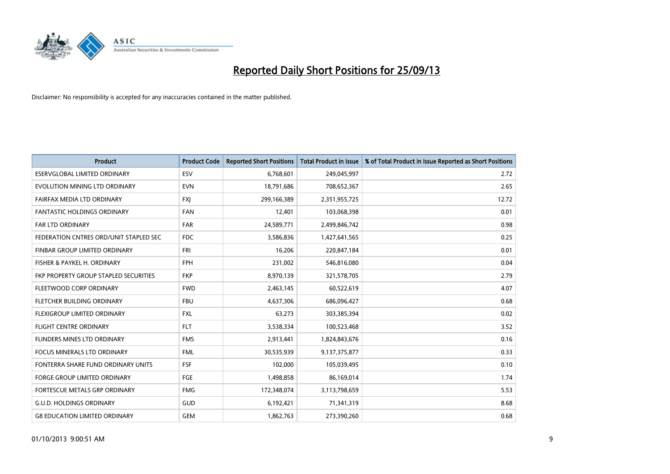

| <b>Product</b>                         | <b>Product Code</b> | <b>Reported Short Positions</b> | <b>Total Product in Issue</b> | % of Total Product in Issue Reported as Short Positions |
|----------------------------------------|---------------------|---------------------------------|-------------------------------|---------------------------------------------------------|
| <b>ESERVGLOBAL LIMITED ORDINARY</b>    | ESV                 | 6,768,601                       | 249,045,997                   | 2.72                                                    |
| EVOLUTION MINING LTD ORDINARY          | <b>EVN</b>          | 18,791,686                      | 708,652,367                   | 2.65                                                    |
| FAIRFAX MEDIA LTD ORDINARY             | <b>FXI</b>          | 299,166,389                     | 2,351,955,725                 | 12.72                                                   |
| <b>FANTASTIC HOLDINGS ORDINARY</b>     | <b>FAN</b>          | 12,401                          | 103,068,398                   | 0.01                                                    |
| <b>FAR LTD ORDINARY</b>                | FAR                 | 24,589,771                      | 2,499,846,742                 | 0.98                                                    |
| FEDERATION CNTRES ORD/UNIT STAPLED SEC | <b>FDC</b>          | 3,586,836                       | 1,427,641,565                 | 0.25                                                    |
| FINBAR GROUP LIMITED ORDINARY          | <b>FRI</b>          | 16,206                          | 220,847,184                   | 0.01                                                    |
| FISHER & PAYKEL H. ORDINARY            | <b>FPH</b>          | 231,002                         | 546,816,080                   | 0.04                                                    |
| FKP PROPERTY GROUP STAPLED SECURITIES  | <b>FKP</b>          | 8,970,139                       | 321,578,705                   | 2.79                                                    |
| FLEETWOOD CORP ORDINARY                | <b>FWD</b>          | 2,463,145                       | 60,522,619                    | 4.07                                                    |
| FLETCHER BUILDING ORDINARY             | <b>FBU</b>          | 4,637,306                       | 686,096,427                   | 0.68                                                    |
| FLEXIGROUP LIMITED ORDINARY            | <b>FXL</b>          | 63,273                          | 303,385,394                   | 0.02                                                    |
| <b>FLIGHT CENTRE ORDINARY</b>          | <b>FLT</b>          | 3,538,334                       | 100,523,468                   | 3.52                                                    |
| FLINDERS MINES LTD ORDINARY            | <b>FMS</b>          | 2,913,441                       | 1,824,843,676                 | 0.16                                                    |
| <b>FOCUS MINERALS LTD ORDINARY</b>     | <b>FML</b>          | 30,535,939                      | 9,137,375,877                 | 0.33                                                    |
| FONTERRA SHARE FUND ORDINARY UNITS     | <b>FSF</b>          | 102,000                         | 105,039,495                   | 0.10                                                    |
| <b>FORGE GROUP LIMITED ORDINARY</b>    | FGE                 | 1,498,858                       | 86,169,014                    | 1.74                                                    |
| FORTESCUE METALS GRP ORDINARY          | <b>FMG</b>          | 172,348,074                     | 3,113,798,659                 | 5.53                                                    |
| <b>G.U.D. HOLDINGS ORDINARY</b>        | <b>GUD</b>          | 6,192,421                       | 71,341,319                    | 8.68                                                    |
| <b>G8 EDUCATION LIMITED ORDINARY</b>   | <b>GEM</b>          | 1,862,763                       | 273,390,260                   | 0.68                                                    |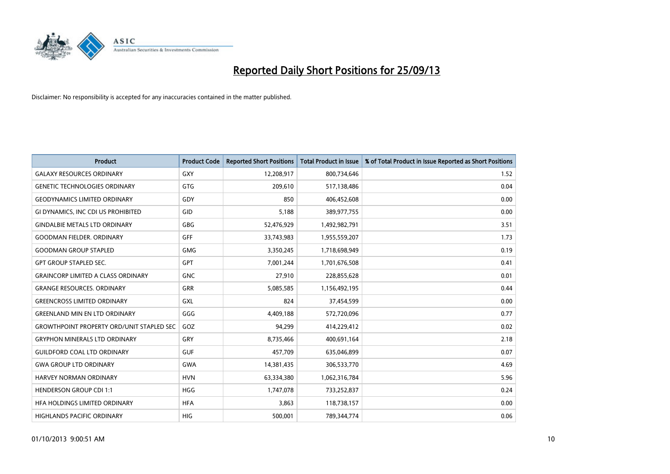

| <b>Product</b>                                   | <b>Product Code</b> | <b>Reported Short Positions</b> | <b>Total Product in Issue</b> | % of Total Product in Issue Reported as Short Positions |
|--------------------------------------------------|---------------------|---------------------------------|-------------------------------|---------------------------------------------------------|
| <b>GALAXY RESOURCES ORDINARY</b>                 | GXY                 | 12,208,917                      | 800,734,646                   | 1.52                                                    |
| <b>GENETIC TECHNOLOGIES ORDINARY</b>             | GTG                 | 209,610                         | 517,138,486                   | 0.04                                                    |
| <b>GEODYNAMICS LIMITED ORDINARY</b>              | GDY                 | 850                             | 406,452,608                   | 0.00                                                    |
| GI DYNAMICS, INC CDI US PROHIBITED               | GID                 | 5,188                           | 389,977,755                   | 0.00                                                    |
| <b>GINDALBIE METALS LTD ORDINARY</b>             | GBG                 | 52,476,929                      | 1,492,982,791                 | 3.51                                                    |
| <b>GOODMAN FIELDER, ORDINARY</b>                 | <b>GFF</b>          | 33,743,983                      | 1,955,559,207                 | 1.73                                                    |
| <b>GOODMAN GROUP STAPLED</b>                     | GMG                 | 3,350,245                       | 1,718,698,949                 | 0.19                                                    |
| <b>GPT GROUP STAPLED SEC.</b>                    | GPT                 | 7,001,244                       | 1,701,676,508                 | 0.41                                                    |
| <b>GRAINCORP LIMITED A CLASS ORDINARY</b>        | <b>GNC</b>          | 27,910                          | 228,855,628                   | 0.01                                                    |
| <b>GRANGE RESOURCES, ORDINARY</b>                | GRR                 | 5,085,585                       | 1,156,492,195                 | 0.44                                                    |
| <b>GREENCROSS LIMITED ORDINARY</b>               | <b>GXL</b>          | 824                             | 37,454,599                    | 0.00                                                    |
| <b>GREENLAND MIN EN LTD ORDINARY</b>             | GGG                 | 4,409,188                       | 572,720,096                   | 0.77                                                    |
| <b>GROWTHPOINT PROPERTY ORD/UNIT STAPLED SEC</b> | GOZ                 | 94,299                          | 414,229,412                   | 0.02                                                    |
| <b>GRYPHON MINERALS LTD ORDINARY</b>             | GRY                 | 8,735,466                       | 400,691,164                   | 2.18                                                    |
| <b>GUILDFORD COAL LTD ORDINARY</b>               | <b>GUF</b>          | 457,709                         | 635,046,899                   | 0.07                                                    |
| <b>GWA GROUP LTD ORDINARY</b>                    | <b>GWA</b>          | 14,381,435                      | 306,533,770                   | 4.69                                                    |
| HARVEY NORMAN ORDINARY                           | <b>HVN</b>          | 63,334,380                      | 1,062,316,784                 | 5.96                                                    |
| <b>HENDERSON GROUP CDI 1:1</b>                   | <b>HGG</b>          | 1,747,078                       | 733,252,837                   | 0.24                                                    |
| HFA HOLDINGS LIMITED ORDINARY                    | <b>HFA</b>          | 3,863                           | 118,738,157                   | 0.00                                                    |
| <b>HIGHLANDS PACIFIC ORDINARY</b>                | <b>HIG</b>          | 500,001                         | 789,344,774                   | 0.06                                                    |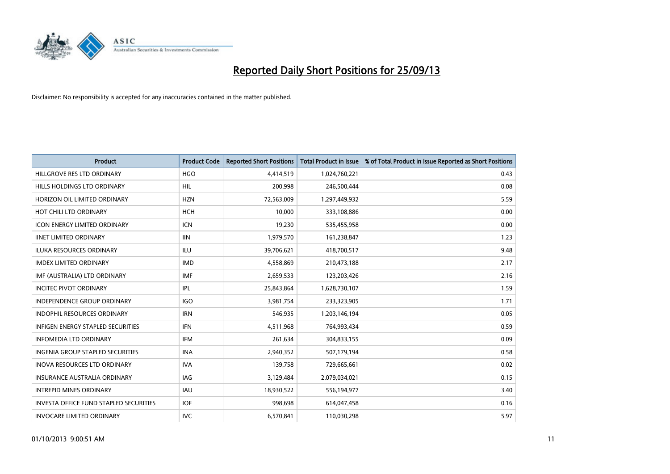

| <b>Product</b>                                | <b>Product Code</b> | <b>Reported Short Positions</b> | <b>Total Product in Issue</b> | % of Total Product in Issue Reported as Short Positions |
|-----------------------------------------------|---------------------|---------------------------------|-------------------------------|---------------------------------------------------------|
| HILLGROVE RES LTD ORDINARY                    | <b>HGO</b>          | 4,414,519                       | 1,024,760,221                 | 0.43                                                    |
| HILLS HOLDINGS LTD ORDINARY                   | HIL                 | 200,998                         | 246,500,444                   | 0.08                                                    |
| HORIZON OIL LIMITED ORDINARY                  | <b>HZN</b>          | 72,563,009                      | 1,297,449,932                 | 5.59                                                    |
| HOT CHILI LTD ORDINARY                        | <b>HCH</b>          | 10,000                          | 333,108,886                   | 0.00                                                    |
| <b>ICON ENERGY LIMITED ORDINARY</b>           | <b>ICN</b>          | 19,230                          | 535,455,958                   | 0.00                                                    |
| <b>IINET LIMITED ORDINARY</b>                 | <b>IIN</b>          | 1,979,570                       | 161,238,847                   | 1.23                                                    |
| <b>ILUKA RESOURCES ORDINARY</b>               | <b>ILU</b>          | 39,706,621                      | 418,700,517                   | 9.48                                                    |
| <b>IMDEX LIMITED ORDINARY</b>                 | <b>IMD</b>          | 4,558,869                       | 210,473,188                   | 2.17                                                    |
| IMF (AUSTRALIA) LTD ORDINARY                  | <b>IMF</b>          | 2,659,533                       | 123,203,426                   | 2.16                                                    |
| <b>INCITEC PIVOT ORDINARY</b>                 | IPL                 | 25,843,864                      | 1,628,730,107                 | 1.59                                                    |
| INDEPENDENCE GROUP ORDINARY                   | <b>IGO</b>          | 3,981,754                       | 233,323,905                   | 1.71                                                    |
| <b>INDOPHIL RESOURCES ORDINARY</b>            | <b>IRN</b>          | 546,935                         | 1,203,146,194                 | 0.05                                                    |
| INFIGEN ENERGY STAPLED SECURITIES             | <b>IFN</b>          | 4,511,968                       | 764,993,434                   | 0.59                                                    |
| <b>INFOMEDIA LTD ORDINARY</b>                 | IFM                 | 261,634                         | 304,833,155                   | 0.09                                                    |
| <b>INGENIA GROUP STAPLED SECURITIES</b>       | <b>INA</b>          | 2,940,352                       | 507,179,194                   | 0.58                                                    |
| INOVA RESOURCES LTD ORDINARY                  | <b>IVA</b>          | 139,758                         | 729,665,661                   | 0.02                                                    |
| INSURANCE AUSTRALIA ORDINARY                  | IAG                 | 3,129,484                       | 2,079,034,021                 | 0.15                                                    |
| <b>INTREPID MINES ORDINARY</b>                | <b>IAU</b>          | 18,930,522                      | 556,194,977                   | 3.40                                                    |
| <b>INVESTA OFFICE FUND STAPLED SECURITIES</b> | <b>IOF</b>          | 998,698                         | 614,047,458                   | 0.16                                                    |
| <b>INVOCARE LIMITED ORDINARY</b>              | <b>IVC</b>          | 6,570,841                       | 110,030,298                   | 5.97                                                    |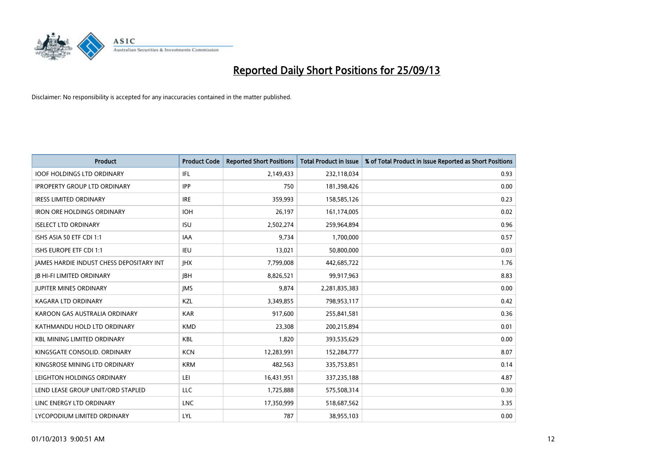

| <b>Product</b>                                  | <b>Product Code</b> | <b>Reported Short Positions</b> | <b>Total Product in Issue</b> | % of Total Product in Issue Reported as Short Positions |
|-------------------------------------------------|---------------------|---------------------------------|-------------------------------|---------------------------------------------------------|
| <b>IOOF HOLDINGS LTD ORDINARY</b>               | IFL                 | 2,149,433                       | 232,118,034                   | 0.93                                                    |
| <b>IPROPERTY GROUP LTD ORDINARY</b>             | <b>IPP</b>          | 750                             | 181,398,426                   | 0.00                                                    |
| <b>IRESS LIMITED ORDINARY</b>                   | <b>IRE</b>          | 359,993                         | 158,585,126                   | 0.23                                                    |
| <b>IRON ORE HOLDINGS ORDINARY</b>               | <b>IOH</b>          | 26,197                          | 161,174,005                   | 0.02                                                    |
| <b>ISELECT LTD ORDINARY</b>                     | <b>ISU</b>          | 2,502,274                       | 259,964,894                   | 0.96                                                    |
| ISHS ASIA 50 ETF CDI 1:1                        | <b>IAA</b>          | 9,734                           | 1,700,000                     | 0.57                                                    |
| ISHS EUROPE ETF CDI 1:1                         | IEU                 | 13,021                          | 50,800,000                    | 0.03                                                    |
| <b>JAMES HARDIE INDUST CHESS DEPOSITARY INT</b> | <b>IHX</b>          | 7,799,008                       | 442,685,722                   | 1.76                                                    |
| <b>JB HI-FI LIMITED ORDINARY</b>                | <b>IBH</b>          | 8,826,521                       | 99,917,963                    | 8.83                                                    |
| <b>JUPITER MINES ORDINARY</b>                   | <b>IMS</b>          | 9,874                           | 2,281,835,383                 | 0.00                                                    |
| KAGARA LTD ORDINARY                             | KZL                 | 3,349,855                       | 798,953,117                   | 0.42                                                    |
| KAROON GAS AUSTRALIA ORDINARY                   | <b>KAR</b>          | 917,600                         | 255,841,581                   | 0.36                                                    |
| KATHMANDU HOLD LTD ORDINARY                     | <b>KMD</b>          | 23,308                          | 200,215,894                   | 0.01                                                    |
| <b>KBL MINING LIMITED ORDINARY</b>              | KBL                 | 1,820                           | 393,535,629                   | 0.00                                                    |
| KINGSGATE CONSOLID, ORDINARY                    | <b>KCN</b>          | 12,283,991                      | 152,284,777                   | 8.07                                                    |
| KINGSROSE MINING LTD ORDINARY                   | <b>KRM</b>          | 482,563                         | 335,753,851                   | 0.14                                                    |
| LEIGHTON HOLDINGS ORDINARY                      | LEI                 | 16,431,951                      | 337,235,188                   | 4.87                                                    |
| LEND LEASE GROUP UNIT/ORD STAPLED               | <b>LLC</b>          | 1,725,888                       | 575,508,314                   | 0.30                                                    |
| LINC ENERGY LTD ORDINARY                        | <b>LNC</b>          | 17,350,999                      | 518,687,562                   | 3.35                                                    |
| LYCOPODIUM LIMITED ORDINARY                     | <b>LYL</b>          | 787                             | 38,955,103                    | 0.00                                                    |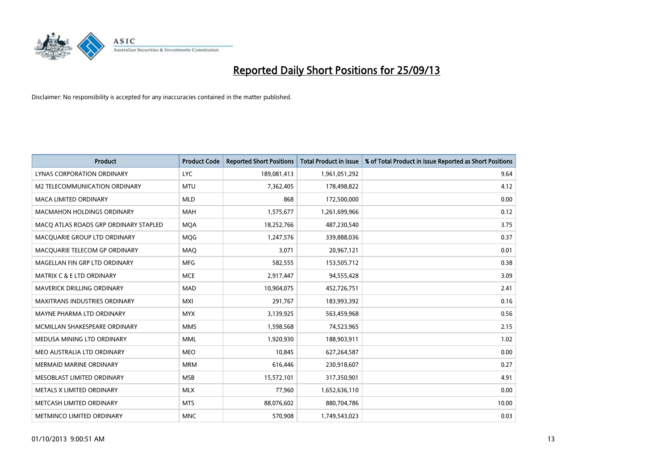

| <b>Product</b>                        | <b>Product Code</b> | <b>Reported Short Positions</b> | <b>Total Product in Issue</b> | % of Total Product in Issue Reported as Short Positions |
|---------------------------------------|---------------------|---------------------------------|-------------------------------|---------------------------------------------------------|
| LYNAS CORPORATION ORDINARY            | <b>LYC</b>          | 189,081,413                     | 1,961,051,292                 | 9.64                                                    |
| M2 TELECOMMUNICATION ORDINARY         | <b>MTU</b>          | 7,362,405                       | 178,498,822                   | 4.12                                                    |
| <b>MACA LIMITED ORDINARY</b>          | <b>MLD</b>          | 868                             | 172,500,000                   | 0.00                                                    |
| <b>MACMAHON HOLDINGS ORDINARY</b>     | <b>MAH</b>          | 1,575,677                       | 1,261,699,966                 | 0.12                                                    |
| MACO ATLAS ROADS GRP ORDINARY STAPLED | <b>MOA</b>          | 18,252,766                      | 487,230,540                   | 3.75                                                    |
| MACQUARIE GROUP LTD ORDINARY          | MQG                 | 1,247,576                       | 339,888,036                   | 0.37                                                    |
| MACQUARIE TELECOM GP ORDINARY         | MAQ                 | 3,071                           | 20,967,121                    | 0.01                                                    |
| MAGELLAN FIN GRP LTD ORDINARY         | <b>MFG</b>          | 582,555                         | 153,505,712                   | 0.38                                                    |
| <b>MATRIX C &amp; E LTD ORDINARY</b>  | <b>MCE</b>          | 2,917,447                       | 94,555,428                    | 3.09                                                    |
| <b>MAVERICK DRILLING ORDINARY</b>     | <b>MAD</b>          | 10,904,075                      | 452,726,751                   | 2.41                                                    |
| <b>MAXITRANS INDUSTRIES ORDINARY</b>  | <b>MXI</b>          | 291,767                         | 183,993,392                   | 0.16                                                    |
| MAYNE PHARMA LTD ORDINARY             | <b>MYX</b>          | 3,139,925                       | 563,459,968                   | 0.56                                                    |
| MCMILLAN SHAKESPEARE ORDINARY         | <b>MMS</b>          | 1,598,568                       | 74,523,965                    | 2.15                                                    |
| MEDUSA MINING LTD ORDINARY            | <b>MML</b>          | 1,920,930                       | 188,903,911                   | 1.02                                                    |
| MEO AUSTRALIA LTD ORDINARY            | <b>MEO</b>          | 10,845                          | 627,264,587                   | 0.00                                                    |
| MERMAID MARINE ORDINARY               | <b>MRM</b>          | 616,446                         | 230,918,607                   | 0.27                                                    |
| MESOBLAST LIMITED ORDINARY            | <b>MSB</b>          | 15,572,101                      | 317,350,901                   | 4.91                                                    |
| METALS X LIMITED ORDINARY             | <b>MLX</b>          | 77,960                          | 1,652,636,110                 | 0.00                                                    |
| METCASH LIMITED ORDINARY              | <b>MTS</b>          | 88,076,602                      | 880,704,786                   | 10.00                                                   |
| METMINCO LIMITED ORDINARY             | <b>MNC</b>          | 570,908                         | 1,749,543,023                 | 0.03                                                    |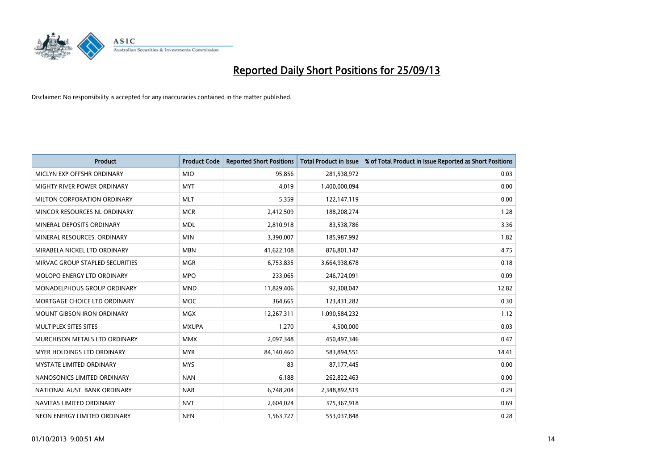

| <b>Product</b>                    | <b>Product Code</b> | <b>Reported Short Positions</b> | <b>Total Product in Issue</b> | % of Total Product in Issue Reported as Short Positions |
|-----------------------------------|---------------------|---------------------------------|-------------------------------|---------------------------------------------------------|
| MICLYN EXP OFFSHR ORDINARY        | <b>MIO</b>          | 95,856                          | 281,538,972                   | 0.03                                                    |
| MIGHTY RIVER POWER ORDINARY       | <b>MYT</b>          | 4,019                           | 1,400,000,094                 | 0.00                                                    |
| MILTON CORPORATION ORDINARY       | <b>MLT</b>          | 5,359                           | 122,147,119                   | 0.00                                                    |
| MINCOR RESOURCES NL ORDINARY      | <b>MCR</b>          | 2,412,509                       | 188,208,274                   | 1.28                                                    |
| MINERAL DEPOSITS ORDINARY         | <b>MDL</b>          | 2,810,918                       | 83,538,786                    | 3.36                                                    |
| MINERAL RESOURCES, ORDINARY       | <b>MIN</b>          | 3,390,007                       | 185,987,992                   | 1.82                                                    |
| MIRABELA NICKEL LTD ORDINARY      | <b>MBN</b>          | 41,622,108                      | 876,801,147                   | 4.75                                                    |
| MIRVAC GROUP STAPLED SECURITIES   | <b>MGR</b>          | 6,753,835                       | 3,664,938,678                 | 0.18                                                    |
| MOLOPO ENERGY LTD ORDINARY        | <b>MPO</b>          | 233,065                         | 246,724,091                   | 0.09                                                    |
| MONADELPHOUS GROUP ORDINARY       | <b>MND</b>          | 11,829,406                      | 92,308,047                    | 12.82                                                   |
| MORTGAGE CHOICE LTD ORDINARY      | <b>MOC</b>          | 364,665                         | 123,431,282                   | 0.30                                                    |
| <b>MOUNT GIBSON IRON ORDINARY</b> | <b>MGX</b>          | 12,267,311                      | 1,090,584,232                 | 1.12                                                    |
| MULTIPLEX SITES SITES             | <b>MXUPA</b>        | 1,270                           | 4,500,000                     | 0.03                                                    |
| MURCHISON METALS LTD ORDINARY     | <b>MMX</b>          | 2,097,348                       | 450,497,346                   | 0.47                                                    |
| MYER HOLDINGS LTD ORDINARY        | <b>MYR</b>          | 84,140,460                      | 583,894,551                   | 14.41                                                   |
| <b>MYSTATE LIMITED ORDINARY</b>   | <b>MYS</b>          | 83                              | 87,177,445                    | 0.00                                                    |
| NANOSONICS LIMITED ORDINARY       | <b>NAN</b>          | 6,188                           | 262,822,463                   | 0.00                                                    |
| NATIONAL AUST, BANK ORDINARY      | <b>NAB</b>          | 6,748,204                       | 2,348,892,519                 | 0.29                                                    |
| NAVITAS LIMITED ORDINARY          | <b>NVT</b>          | 2,604,024                       | 375,367,918                   | 0.69                                                    |
| NEON ENERGY LIMITED ORDINARY      | <b>NEN</b>          | 1,563,727                       | 553,037,848                   | 0.28                                                    |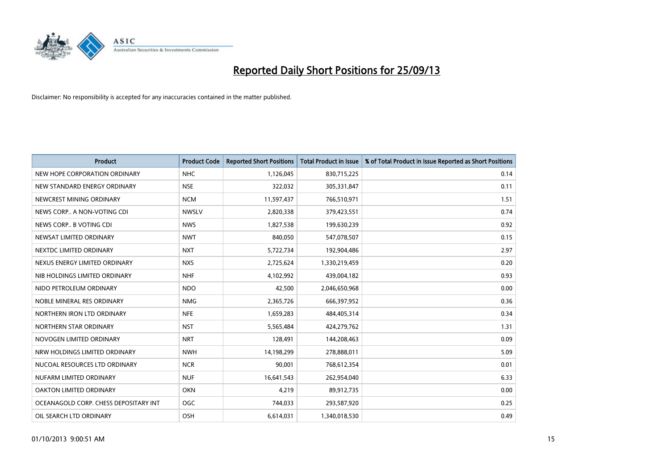

| Product                               | <b>Product Code</b> | <b>Reported Short Positions</b> | <b>Total Product in Issue</b> | % of Total Product in Issue Reported as Short Positions |
|---------------------------------------|---------------------|---------------------------------|-------------------------------|---------------------------------------------------------|
| NEW HOPE CORPORATION ORDINARY         | <b>NHC</b>          | 1,126,045                       | 830,715,225                   | 0.14                                                    |
| NEW STANDARD ENERGY ORDINARY          | <b>NSE</b>          | 322,032                         | 305,331,847                   | 0.11                                                    |
| NEWCREST MINING ORDINARY              | <b>NCM</b>          | 11,597,437                      | 766,510,971                   | 1.51                                                    |
| NEWS CORP A NON-VOTING CDI            | <b>NWSLV</b>        | 2,820,338                       | 379,423,551                   | 0.74                                                    |
| NEWS CORP B VOTING CDI                | <b>NWS</b>          | 1,827,538                       | 199,630,239                   | 0.92                                                    |
| NEWSAT LIMITED ORDINARY               | <b>NWT</b>          | 840,050                         | 547,078,507                   | 0.15                                                    |
| NEXTDC LIMITED ORDINARY               | <b>NXT</b>          | 5,722,734                       | 192,904,486                   | 2.97                                                    |
| NEXUS ENERGY LIMITED ORDINARY         | <b>NXS</b>          | 2,725,624                       | 1,330,219,459                 | 0.20                                                    |
| NIB HOLDINGS LIMITED ORDINARY         | <b>NHF</b>          | 4,102,992                       | 439,004,182                   | 0.93                                                    |
| NIDO PETROLEUM ORDINARY               | <b>NDO</b>          | 42,500                          | 2,046,650,968                 | 0.00                                                    |
| NOBLE MINERAL RES ORDINARY            | <b>NMG</b>          | 2,365,726                       | 666,397,952                   | 0.36                                                    |
| NORTHERN IRON LTD ORDINARY            | <b>NFE</b>          | 1,659,283                       | 484,405,314                   | 0.34                                                    |
| NORTHERN STAR ORDINARY                | <b>NST</b>          | 5,565,484                       | 424,279,762                   | 1.31                                                    |
| NOVOGEN LIMITED ORDINARY              | <b>NRT</b>          | 128,491                         | 144,208,463                   | 0.09                                                    |
| NRW HOLDINGS LIMITED ORDINARY         | <b>NWH</b>          | 14,198,299                      | 278,888,011                   | 5.09                                                    |
| NUCOAL RESOURCES LTD ORDINARY         | <b>NCR</b>          | 90,001                          | 768,612,354                   | 0.01                                                    |
| NUFARM LIMITED ORDINARY               | <b>NUF</b>          | 16,641,543                      | 262,954,040                   | 6.33                                                    |
| OAKTON LIMITED ORDINARY               | <b>OKN</b>          | 4,219                           | 89,912,735                    | 0.00                                                    |
| OCEANAGOLD CORP. CHESS DEPOSITARY INT | <b>OGC</b>          | 744,033                         | 293,587,920                   | 0.25                                                    |
| OIL SEARCH LTD ORDINARY               | OSH                 | 6,614,031                       | 1,340,018,530                 | 0.49                                                    |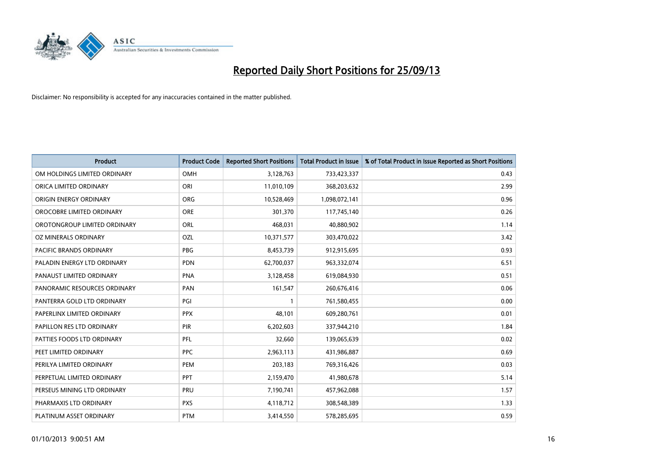

| <b>Product</b>               | <b>Product Code</b> | <b>Reported Short Positions</b> | <b>Total Product in Issue</b> | % of Total Product in Issue Reported as Short Positions |
|------------------------------|---------------------|---------------------------------|-------------------------------|---------------------------------------------------------|
| OM HOLDINGS LIMITED ORDINARY | <b>OMH</b>          | 3,128,763                       | 733,423,337                   | 0.43                                                    |
| ORICA LIMITED ORDINARY       | ORI                 | 11,010,109                      | 368,203,632                   | 2.99                                                    |
| ORIGIN ENERGY ORDINARY       | <b>ORG</b>          | 10,528,469                      | 1,098,072,141                 | 0.96                                                    |
| OROCOBRE LIMITED ORDINARY    | <b>ORE</b>          | 301,370                         | 117,745,140                   | 0.26                                                    |
| OROTONGROUP LIMITED ORDINARY | ORL                 | 468,031                         | 40,880,902                    | 1.14                                                    |
| OZ MINERALS ORDINARY         | OZL                 | 10,371,577                      | 303,470,022                   | 3.42                                                    |
| PACIFIC BRANDS ORDINARY      | PBG                 | 8,453,739                       | 912,915,695                   | 0.93                                                    |
| PALADIN ENERGY LTD ORDINARY  | <b>PDN</b>          | 62,700,037                      | 963,332,074                   | 6.51                                                    |
| PANAUST LIMITED ORDINARY     | <b>PNA</b>          | 3,128,458                       | 619,084,930                   | 0.51                                                    |
| PANORAMIC RESOURCES ORDINARY | PAN                 | 161,547                         | 260,676,416                   | 0.06                                                    |
| PANTERRA GOLD LTD ORDINARY   | PGI                 |                                 | 761,580,455                   | 0.00                                                    |
| PAPERLINX LIMITED ORDINARY   | <b>PPX</b>          | 48,101                          | 609,280,761                   | 0.01                                                    |
| PAPILLON RES LTD ORDINARY    | <b>PIR</b>          | 6,202,603                       | 337,944,210                   | 1.84                                                    |
| PATTIES FOODS LTD ORDINARY   | PFL                 | 32,660                          | 139,065,639                   | 0.02                                                    |
| PEET LIMITED ORDINARY        | <b>PPC</b>          | 2,963,113                       | 431,986,887                   | 0.69                                                    |
| PERILYA LIMITED ORDINARY     | PEM                 | 203,183                         | 769,316,426                   | 0.03                                                    |
| PERPETUAL LIMITED ORDINARY   | PPT                 | 2,159,470                       | 41,980,678                    | 5.14                                                    |
| PERSEUS MINING LTD ORDINARY  | PRU                 | 7,190,741                       | 457,962,088                   | 1.57                                                    |
| PHARMAXIS LTD ORDINARY       | <b>PXS</b>          | 4,118,712                       | 308,548,389                   | 1.33                                                    |
| PLATINUM ASSET ORDINARY      | <b>PTM</b>          | 3,414,550                       | 578,285,695                   | 0.59                                                    |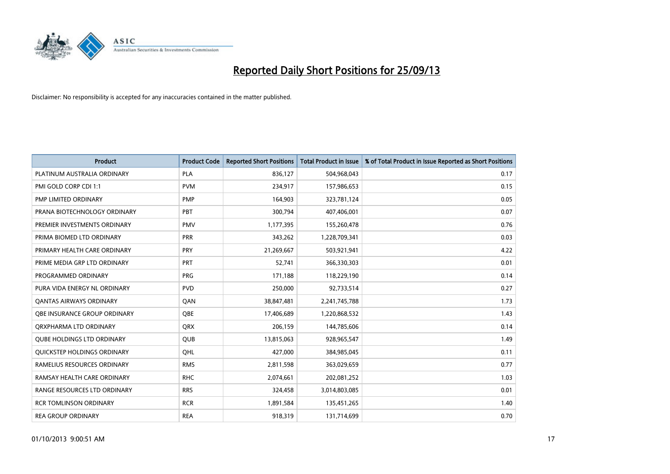

| <b>Product</b>                      | <b>Product Code</b> | <b>Reported Short Positions</b> | <b>Total Product in Issue</b> | % of Total Product in Issue Reported as Short Positions |
|-------------------------------------|---------------------|---------------------------------|-------------------------------|---------------------------------------------------------|
| PLATINUM AUSTRALIA ORDINARY         | <b>PLA</b>          | 836,127                         | 504,968,043                   | 0.17                                                    |
| PMI GOLD CORP CDI 1:1               | <b>PVM</b>          | 234,917                         | 157,986,653                   | 0.15                                                    |
| PMP LIMITED ORDINARY                | <b>PMP</b>          | 164,903                         | 323,781,124                   | 0.05                                                    |
| PRANA BIOTECHNOLOGY ORDINARY        | PBT                 | 300,794                         | 407,406,001                   | 0.07                                                    |
| PREMIER INVESTMENTS ORDINARY        | <b>PMV</b>          | 1,177,395                       | 155,260,478                   | 0.76                                                    |
| PRIMA BIOMED LTD ORDINARY           | <b>PRR</b>          | 343,262                         | 1,228,709,341                 | 0.03                                                    |
| PRIMARY HEALTH CARE ORDINARY        | <b>PRY</b>          | 21,269,667                      | 503,921,941                   | 4.22                                                    |
| PRIME MEDIA GRP LTD ORDINARY        | <b>PRT</b>          | 52,741                          | 366,330,303                   | 0.01                                                    |
| PROGRAMMED ORDINARY                 | <b>PRG</b>          | 171,188                         | 118,229,190                   | 0.14                                                    |
| PURA VIDA ENERGY NL ORDINARY        | <b>PVD</b>          | 250,000                         | 92,733,514                    | 0.27                                                    |
| <b>QANTAS AIRWAYS ORDINARY</b>      | QAN                 | 38,847,481                      | 2,241,745,788                 | 1.73                                                    |
| <b>OBE INSURANCE GROUP ORDINARY</b> | <b>OBE</b>          | 17,406,689                      | 1,220,868,532                 | 1.43                                                    |
| ORXPHARMA LTD ORDINARY              | <b>QRX</b>          | 206,159                         | 144,785,606                   | 0.14                                                    |
| <b>QUBE HOLDINGS LTD ORDINARY</b>   | <b>QUB</b>          | 13,815,063                      | 928,965,547                   | 1.49                                                    |
| QUICKSTEP HOLDINGS ORDINARY         | OHL                 | 427,000                         | 384,985,045                   | 0.11                                                    |
| RAMELIUS RESOURCES ORDINARY         | <b>RMS</b>          | 2,811,598                       | 363,029,659                   | 0.77                                                    |
| RAMSAY HEALTH CARE ORDINARY         | <b>RHC</b>          | 2,074,661                       | 202,081,252                   | 1.03                                                    |
| RANGE RESOURCES LTD ORDINARY        | <b>RRS</b>          | 324,458                         | 3,014,803,085                 | 0.01                                                    |
| <b>RCR TOMLINSON ORDINARY</b>       | <b>RCR</b>          | 1,891,584                       | 135,451,265                   | 1.40                                                    |
| <b>REA GROUP ORDINARY</b>           | <b>REA</b>          | 918,319                         | 131,714,699                   | 0.70                                                    |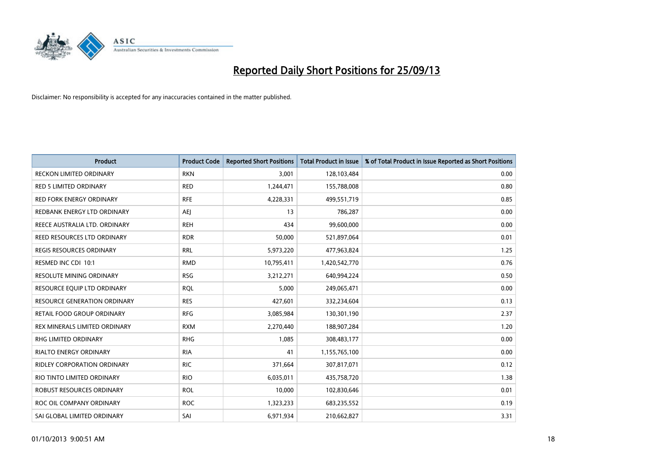

| <b>Product</b>                      | <b>Product Code</b> | <b>Reported Short Positions</b> | <b>Total Product in Issue</b> | % of Total Product in Issue Reported as Short Positions |
|-------------------------------------|---------------------|---------------------------------|-------------------------------|---------------------------------------------------------|
| <b>RECKON LIMITED ORDINARY</b>      | <b>RKN</b>          | 3,001                           | 128,103,484                   | 0.00                                                    |
| <b>RED 5 LIMITED ORDINARY</b>       | <b>RED</b>          | 1,244,471                       | 155,788,008                   | 0.80                                                    |
| <b>RED FORK ENERGY ORDINARY</b>     | <b>RFE</b>          | 4,228,331                       | 499,551,719                   | 0.85                                                    |
| REDBANK ENERGY LTD ORDINARY         | AEJ                 | 13                              | 786,287                       | 0.00                                                    |
| REECE AUSTRALIA LTD. ORDINARY       | <b>REH</b>          | 434                             | 99,600,000                    | 0.00                                                    |
| REED RESOURCES LTD ORDINARY         | <b>RDR</b>          | 50,000                          | 521,897,064                   | 0.01                                                    |
| REGIS RESOURCES ORDINARY            | <b>RRL</b>          | 5,973,220                       | 477,963,824                   | 1.25                                                    |
| RESMED INC CDI 10:1                 | <b>RMD</b>          | 10,795,411                      | 1,420,542,770                 | 0.76                                                    |
| <b>RESOLUTE MINING ORDINARY</b>     | <b>RSG</b>          | 3,212,271                       | 640,994,224                   | 0.50                                                    |
| RESOURCE EQUIP LTD ORDINARY         | <b>ROL</b>          | 5,000                           | 249,065,471                   | 0.00                                                    |
| <b>RESOURCE GENERATION ORDINARY</b> | <b>RES</b>          | 427,601                         | 332,234,604                   | 0.13                                                    |
| RETAIL FOOD GROUP ORDINARY          | <b>RFG</b>          | 3,085,984                       | 130,301,190                   | 2.37                                                    |
| REX MINERALS LIMITED ORDINARY       | <b>RXM</b>          | 2,270,440                       | 188,907,284                   | 1.20                                                    |
| <b>RHG LIMITED ORDINARY</b>         | <b>RHG</b>          | 1,085                           | 308,483,177                   | 0.00                                                    |
| <b>RIALTO ENERGY ORDINARY</b>       | <b>RIA</b>          | 41                              | 1,155,765,100                 | 0.00                                                    |
| RIDLEY CORPORATION ORDINARY         | <b>RIC</b>          | 371,664                         | 307,817,071                   | 0.12                                                    |
| RIO TINTO LIMITED ORDINARY          | <b>RIO</b>          | 6,035,011                       | 435,758,720                   | 1.38                                                    |
| ROBUST RESOURCES ORDINARY           | <b>ROL</b>          | 10,000                          | 102,830,646                   | 0.01                                                    |
| ROC OIL COMPANY ORDINARY            | <b>ROC</b>          | 1,323,233                       | 683,235,552                   | 0.19                                                    |
| SAI GLOBAL LIMITED ORDINARY         | SAI                 | 6,971,934                       | 210,662,827                   | 3.31                                                    |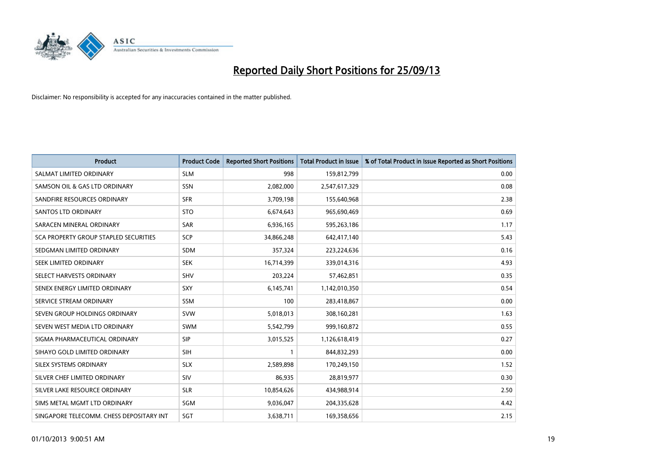

| <b>Product</b>                           | <b>Product Code</b> | <b>Reported Short Positions</b> | <b>Total Product in Issue</b> | % of Total Product in Issue Reported as Short Positions |
|------------------------------------------|---------------------|---------------------------------|-------------------------------|---------------------------------------------------------|
| SALMAT LIMITED ORDINARY                  | <b>SLM</b>          | 998                             | 159,812,799                   | 0.00                                                    |
| SAMSON OIL & GAS LTD ORDINARY            | SSN                 | 2,082,000                       | 2,547,617,329                 | 0.08                                                    |
| SANDFIRE RESOURCES ORDINARY              | <b>SFR</b>          | 3,709,198                       | 155,640,968                   | 2.38                                                    |
| SANTOS LTD ORDINARY                      | <b>STO</b>          | 6,674,643                       | 965,690,469                   | 0.69                                                    |
| SARACEN MINERAL ORDINARY                 | <b>SAR</b>          | 6,936,165                       | 595,263,186                   | 1.17                                                    |
| SCA PROPERTY GROUP STAPLED SECURITIES    | SCP                 | 34,866,248                      | 642,417,140                   | 5.43                                                    |
| SEDGMAN LIMITED ORDINARY                 | <b>SDM</b>          | 357,324                         | 223,224,636                   | 0.16                                                    |
| SEEK LIMITED ORDINARY                    | <b>SEK</b>          | 16,714,399                      | 339,014,316                   | 4.93                                                    |
| SELECT HARVESTS ORDINARY                 | <b>SHV</b>          | 203,224                         | 57,462,851                    | 0.35                                                    |
| SENEX ENERGY LIMITED ORDINARY            | SXY                 | 6,145,741                       | 1,142,010,350                 | 0.54                                                    |
| SERVICE STREAM ORDINARY                  | SSM                 | 100                             | 283,418,867                   | 0.00                                                    |
| SEVEN GROUP HOLDINGS ORDINARY            | <b>SVW</b>          | 5,018,013                       | 308,160,281                   | 1.63                                                    |
| SEVEN WEST MEDIA LTD ORDINARY            | SWM                 | 5,542,799                       | 999,160,872                   | 0.55                                                    |
| SIGMA PHARMACEUTICAL ORDINARY            | <b>SIP</b>          | 3,015,525                       | 1,126,618,419                 | 0.27                                                    |
| SIHAYO GOLD LIMITED ORDINARY             | <b>SIH</b>          | $\mathbf{1}$                    | 844,832,293                   | 0.00                                                    |
| SILEX SYSTEMS ORDINARY                   | <b>SLX</b>          | 2,589,898                       | 170,249,150                   | 1.52                                                    |
| SILVER CHEF LIMITED ORDINARY             | SIV                 | 86,935                          | 28,819,977                    | 0.30                                                    |
| SILVER LAKE RESOURCE ORDINARY            | <b>SLR</b>          | 10,854,626                      | 434,988,914                   | 2.50                                                    |
| SIMS METAL MGMT LTD ORDINARY             | SGM                 | 9,036,047                       | 204,335,628                   | 4.42                                                    |
| SINGAPORE TELECOMM. CHESS DEPOSITARY INT | SGT                 | 3,638,711                       | 169,358,656                   | 2.15                                                    |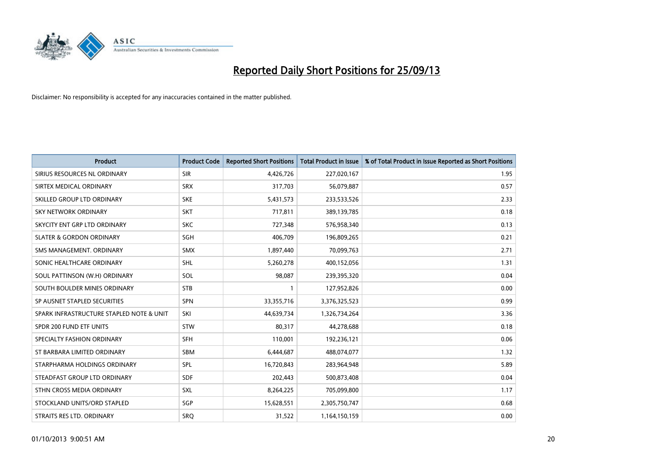

| <b>Product</b>                           | <b>Product Code</b> | <b>Reported Short Positions</b> | <b>Total Product in Issue</b> | % of Total Product in Issue Reported as Short Positions |
|------------------------------------------|---------------------|---------------------------------|-------------------------------|---------------------------------------------------------|
| SIRIUS RESOURCES NL ORDINARY             | <b>SIR</b>          | 4,426,726                       | 227,020,167                   | 1.95                                                    |
| SIRTEX MEDICAL ORDINARY                  | <b>SRX</b>          | 317,703                         | 56,079,887                    | 0.57                                                    |
| SKILLED GROUP LTD ORDINARY               | <b>SKE</b>          | 5,431,573                       | 233,533,526                   | 2.33                                                    |
| SKY NETWORK ORDINARY                     | <b>SKT</b>          | 717,811                         | 389,139,785                   | 0.18                                                    |
| SKYCITY ENT GRP LTD ORDINARY             | <b>SKC</b>          | 727,348                         | 576,958,340                   | 0.13                                                    |
| <b>SLATER &amp; GORDON ORDINARY</b>      | SGH                 | 406,709                         | 196,809,265                   | 0.21                                                    |
| SMS MANAGEMENT, ORDINARY                 | <b>SMX</b>          | 1,897,440                       | 70,099,763                    | 2.71                                                    |
| SONIC HEALTHCARE ORDINARY                | SHL                 | 5,260,278                       | 400,152,056                   | 1.31                                                    |
| SOUL PATTINSON (W.H) ORDINARY            | SOL                 | 98,087                          | 239,395,320                   | 0.04                                                    |
| SOUTH BOULDER MINES ORDINARY             | <b>STB</b>          | $\mathbf{1}$                    | 127,952,826                   | 0.00                                                    |
| SP AUSNET STAPLED SECURITIES             | SPN                 | 33,355,716                      | 3,376,325,523                 | 0.99                                                    |
| SPARK INFRASTRUCTURE STAPLED NOTE & UNIT | SKI                 | 44,639,734                      | 1,326,734,264                 | 3.36                                                    |
| SPDR 200 FUND ETF UNITS                  | <b>STW</b>          | 80,317                          | 44,278,688                    | 0.18                                                    |
| SPECIALTY FASHION ORDINARY               | SFH                 | 110,001                         | 192,236,121                   | 0.06                                                    |
| ST BARBARA LIMITED ORDINARY              | <b>SBM</b>          | 6,444,687                       | 488,074,077                   | 1.32                                                    |
| STARPHARMA HOLDINGS ORDINARY             | SPL                 | 16,720,843                      | 283,964,948                   | 5.89                                                    |
| STEADFAST GROUP LTD ORDINARY             | SDF                 | 202,443                         | 500,873,408                   | 0.04                                                    |
| STHN CROSS MEDIA ORDINARY                | <b>SXL</b>          | 8,264,225                       | 705,099,800                   | 1.17                                                    |
| STOCKLAND UNITS/ORD STAPLED              | SGP                 | 15,628,551                      | 2,305,750,747                 | 0.68                                                    |
| STRAITS RES LTD. ORDINARY                | <b>SRO</b>          | 31,522                          | 1,164,150,159                 | 0.00                                                    |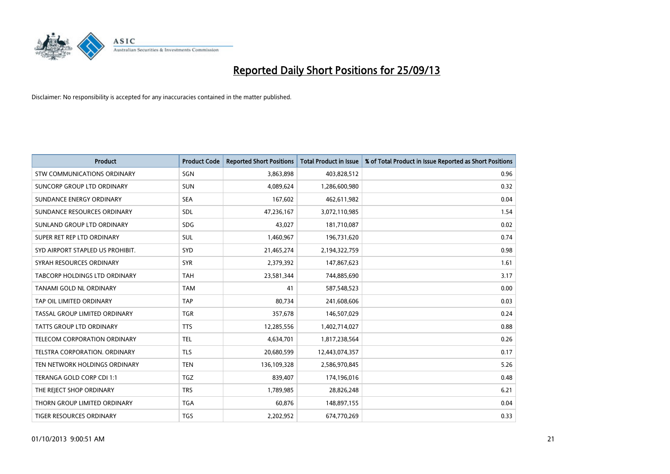

| <b>Product</b>                     | <b>Product Code</b> | <b>Reported Short Positions</b> | <b>Total Product in Issue</b> | % of Total Product in Issue Reported as Short Positions |
|------------------------------------|---------------------|---------------------------------|-------------------------------|---------------------------------------------------------|
| <b>STW COMMUNICATIONS ORDINARY</b> | SGN                 | 3,863,898                       | 403,828,512                   | 0.96                                                    |
| SUNCORP GROUP LTD ORDINARY         | <b>SUN</b>          | 4,089,624                       | 1,286,600,980                 | 0.32                                                    |
| SUNDANCE ENERGY ORDINARY           | <b>SEA</b>          | 167,602                         | 462,611,982                   | 0.04                                                    |
| SUNDANCE RESOURCES ORDINARY        | SDL                 | 47,236,167                      | 3,072,110,985                 | 1.54                                                    |
| SUNLAND GROUP LTD ORDINARY         | <b>SDG</b>          | 43,027                          | 181,710,087                   | 0.02                                                    |
| SUPER RET REP LTD ORDINARY         | SUL                 | 1,460,967                       | 196,731,620                   | 0.74                                                    |
| SYD AIRPORT STAPLED US PROHIBIT.   | SYD                 | 21,465,274                      | 2,194,322,759                 | 0.98                                                    |
| SYRAH RESOURCES ORDINARY           | <b>SYR</b>          | 2,379,392                       | 147,867,623                   | 1.61                                                    |
| TABCORP HOLDINGS LTD ORDINARY      | <b>TAH</b>          | 23,581,344                      | 744,885,690                   | 3.17                                                    |
| <b>TANAMI GOLD NL ORDINARY</b>     | <b>TAM</b>          | 41                              | 587,548,523                   | 0.00                                                    |
| TAP OIL LIMITED ORDINARY           | <b>TAP</b>          | 80,734                          | 241,608,606                   | 0.03                                                    |
| TASSAL GROUP LIMITED ORDINARY      | <b>TGR</b>          | 357,678                         | 146,507,029                   | 0.24                                                    |
| <b>TATTS GROUP LTD ORDINARY</b>    | <b>TTS</b>          | 12,285,556                      | 1,402,714,027                 | 0.88                                                    |
| TELECOM CORPORATION ORDINARY       | <b>TEL</b>          | 4,634,701                       | 1,817,238,564                 | 0.26                                                    |
| TELSTRA CORPORATION, ORDINARY      | <b>TLS</b>          | 20,680,599                      | 12,443,074,357                | 0.17                                                    |
| TEN NETWORK HOLDINGS ORDINARY      | <b>TEN</b>          | 136,109,328                     | 2,586,970,845                 | 5.26                                                    |
| TERANGA GOLD CORP CDI 1:1          | <b>TGZ</b>          | 839,407                         | 174,196,016                   | 0.48                                                    |
| THE REJECT SHOP ORDINARY           | <b>TRS</b>          | 1,789,985                       | 28,826,248                    | 6.21                                                    |
| THORN GROUP LIMITED ORDINARY       | <b>TGA</b>          | 60,876                          | 148,897,155                   | 0.04                                                    |
| TIGER RESOURCES ORDINARY           | <b>TGS</b>          | 2,202,952                       | 674,770,269                   | 0.33                                                    |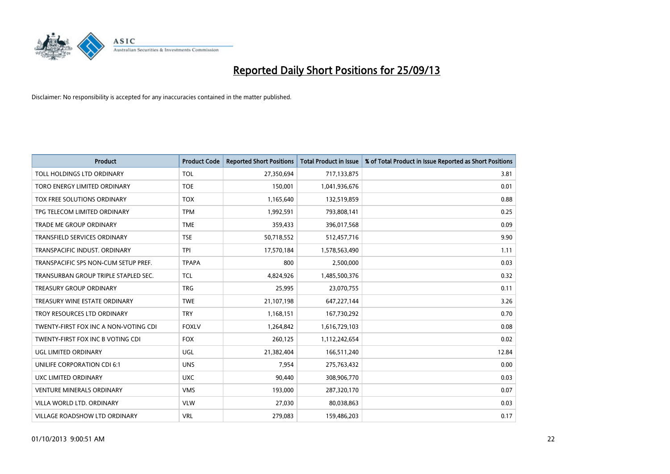

| <b>Product</b>                        | <b>Product Code</b> | <b>Reported Short Positions</b> | <b>Total Product in Issue</b> | % of Total Product in Issue Reported as Short Positions |
|---------------------------------------|---------------------|---------------------------------|-------------------------------|---------------------------------------------------------|
| TOLL HOLDINGS LTD ORDINARY            | <b>TOL</b>          | 27,350,694                      | 717,133,875                   | 3.81                                                    |
| TORO ENERGY LIMITED ORDINARY          | <b>TOE</b>          | 150,001                         | 1,041,936,676                 | 0.01                                                    |
| TOX FREE SOLUTIONS ORDINARY           | <b>TOX</b>          | 1,165,640                       | 132,519,859                   | 0.88                                                    |
| TPG TELECOM LIMITED ORDINARY          | <b>TPM</b>          | 1,992,591                       | 793,808,141                   | 0.25                                                    |
| <b>TRADE ME GROUP ORDINARY</b>        | <b>TME</b>          | 359,433                         | 396,017,568                   | 0.09                                                    |
| <b>TRANSFIELD SERVICES ORDINARY</b>   | <b>TSE</b>          | 50,718,552                      | 512,457,716                   | 9.90                                                    |
| TRANSPACIFIC INDUST, ORDINARY         | <b>TPI</b>          | 17,570,184                      | 1,578,563,490                 | 1.11                                                    |
| TRANSPACIFIC SPS NON-CUM SETUP PREF.  | <b>TPAPA</b>        | 800                             | 2,500,000                     | 0.03                                                    |
| TRANSURBAN GROUP TRIPLE STAPLED SEC.  | <b>TCL</b>          | 4,824,926                       | 1,485,500,376                 | 0.32                                                    |
| <b>TREASURY GROUP ORDINARY</b>        | <b>TRG</b>          | 25,995                          | 23,070,755                    | 0.11                                                    |
| TREASURY WINE ESTATE ORDINARY         | <b>TWE</b>          | 21,107,198                      | 647,227,144                   | 3.26                                                    |
| TROY RESOURCES LTD ORDINARY           | <b>TRY</b>          | 1,168,151                       | 167,730,292                   | 0.70                                                    |
| TWENTY-FIRST FOX INC A NON-VOTING CDI | <b>FOXLV</b>        | 1,264,842                       | 1,616,729,103                 | 0.08                                                    |
| TWENTY-FIRST FOX INC B VOTING CDI     | <b>FOX</b>          | 260,125                         | 1,112,242,654                 | 0.02                                                    |
| UGL LIMITED ORDINARY                  | UGL                 | 21,382,404                      | 166,511,240                   | 12.84                                                   |
| UNILIFE CORPORATION CDI 6:1           | <b>UNS</b>          | 7,954                           | 275,763,432                   | 0.00                                                    |
| UXC LIMITED ORDINARY                  | <b>UXC</b>          | 90,440                          | 308,906,770                   | 0.03                                                    |
| <b>VENTURE MINERALS ORDINARY</b>      | <b>VMS</b>          | 193,000                         | 287,320,170                   | 0.07                                                    |
| VILLA WORLD LTD, ORDINARY             | <b>VLW</b>          | 27,030                          | 80,038,863                    | 0.03                                                    |
| <b>VILLAGE ROADSHOW LTD ORDINARY</b>  | <b>VRL</b>          | 279,083                         | 159,486,203                   | 0.17                                                    |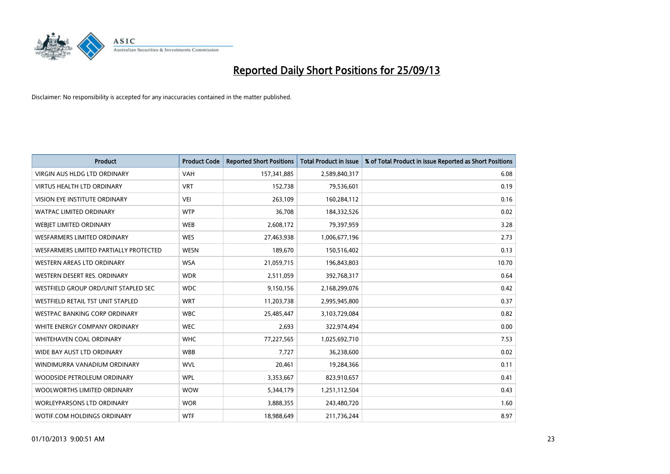

| <b>Product</b>                         | <b>Product Code</b> | <b>Reported Short Positions</b> | <b>Total Product in Issue</b> | % of Total Product in Issue Reported as Short Positions |
|----------------------------------------|---------------------|---------------------------------|-------------------------------|---------------------------------------------------------|
| <b>VIRGIN AUS HLDG LTD ORDINARY</b>    | <b>VAH</b>          | 157,341,885                     | 2,589,840,317                 | 6.08                                                    |
| <b>VIRTUS HEALTH LTD ORDINARY</b>      | <b>VRT</b>          | 152,738                         | 79,536,601                    | 0.19                                                    |
| VISION EYE INSTITUTE ORDINARY          | <b>VEI</b>          | 263,109                         | 160,284,112                   | 0.16                                                    |
| WATPAC LIMITED ORDINARY                | <b>WTP</b>          | 36,708                          | 184,332,526                   | 0.02                                                    |
| WEBJET LIMITED ORDINARY                | <b>WEB</b>          | 2,608,172                       | 79,397,959                    | 3.28                                                    |
| WESFARMERS LIMITED ORDINARY            | <b>WES</b>          | 27,463,938                      | 1,006,677,196                 | 2.73                                                    |
| WESFARMERS LIMITED PARTIALLY PROTECTED | <b>WESN</b>         | 189,670                         | 150,516,402                   | 0.13                                                    |
| WESTERN AREAS LTD ORDINARY             | <b>WSA</b>          | 21,059,715                      | 196,843,803                   | 10.70                                                   |
| WESTERN DESERT RES. ORDINARY           | <b>WDR</b>          | 2,511,059                       | 392,768,317                   | 0.64                                                    |
| WESTFIELD GROUP ORD/UNIT STAPLED SEC   | <b>WDC</b>          | 9,150,156                       | 2,168,299,076                 | 0.42                                                    |
| WESTFIELD RETAIL TST UNIT STAPLED      | <b>WRT</b>          | 11,203,738                      | 2,995,945,800                 | 0.37                                                    |
| <b>WESTPAC BANKING CORP ORDINARY</b>   | <b>WBC</b>          | 25,485,447                      | 3,103,729,084                 | 0.82                                                    |
| WHITE ENERGY COMPANY ORDINARY          | <b>WEC</b>          | 2,693                           | 322,974,494                   | 0.00                                                    |
| WHITEHAVEN COAL ORDINARY               | <b>WHC</b>          | 77,227,565                      | 1,025,692,710                 | 7.53                                                    |
| WIDE BAY AUST LTD ORDINARY             | <b>WBB</b>          | 7,727                           | 36,238,600                    | 0.02                                                    |
| WINDIMURRA VANADIUM ORDINARY           | <b>WVL</b>          | 20,461                          | 19,284,366                    | 0.11                                                    |
| WOODSIDE PETROLEUM ORDINARY            | <b>WPL</b>          | 3,353,667                       | 823,910,657                   | 0.41                                                    |
| WOOLWORTHS LIMITED ORDINARY            | <b>WOW</b>          | 5,344,179                       | 1,251,112,504                 | 0.43                                                    |
| <b>WORLEYPARSONS LTD ORDINARY</b>      | <b>WOR</b>          | 3,888,355                       | 243,480,720                   | 1.60                                                    |
| WOTIF.COM HOLDINGS ORDINARY            | <b>WTF</b>          | 18,988,649                      | 211,736,244                   | 8.97                                                    |